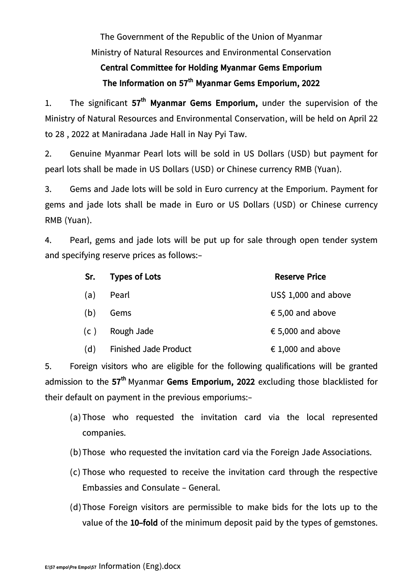The Government of the Republic of the Union of Myanmar Ministry of Natural Resources and Environmental Conservation **Central Committee for Holding Myanmar Gems Emporium The Information on 57th Myanmar Gems Emporium, 2022**

1. The significant **57th Myanmar Gems Emporium,** under the supervision of the Ministry of Natural Resources and Environmental Conservation, will be held on April 22 to 28 , 2022 at Maniradana Jade Hall in Nay Pyi Taw.

2. Genuine Myanmar Pearl lots will be sold in US Dollars (USD) but payment for pearl lots shall be made in US Dollars (USD) or Chinese currency RMB (Yuan).

3. Gems and Jade lots will be sold in Euro currency at the Emporium. Payment for gems and jade lots shall be made in Euro or US Dollars (USD) or Chinese currency RMB (Yuan).

4. Pearl, gems and jade lots will be put up for sale through open tender system and specifying reserve prices as follows:-

| Sr. | <b>Types of Lots</b>         | <b>Reserve Price</b> |
|-----|------------------------------|----------------------|
| (a) | Pearl                        | US\$ 1,000 and above |
| (b) | Gems                         | € 5,00 and above     |
| (c) | Rough Jade                   | € 5,000 and above    |
| (d) | <b>Finished Jade Product</b> | € 1,000 and above    |

5. Foreign visitors who are eligible for the following qualifications will be granted admission to the **57th** Myanmar **Gems Emporium, 2022** excluding those blacklisted for their default on payment in the previous emporiums:-

- (a) Those who requested the invitation card via the local represented companies.
- (b)Those who requested the invitation card via the Foreign Jade Associations.
- (c) Those who requested to receive the invitation card through the respective Embassies and Consulate - General.
- (d)Those Foreign visitors are permissible to make bids for the lots up to the value of the **10-fold** of the minimum deposit paid by the types of gemstones.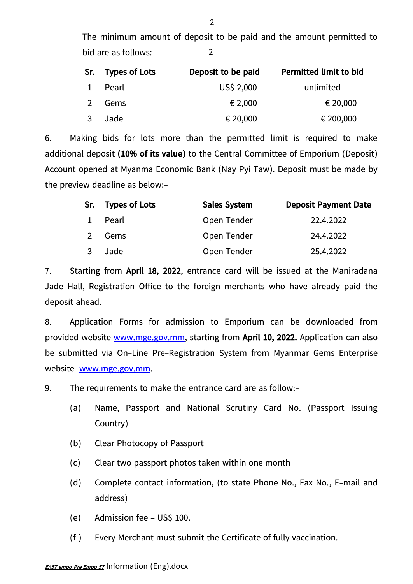The minimum amount of deposit to be paid and the amount permitted to bid are as follows:-  $\overline{\mathcal{L}}$ 

|              | Sr. Types of Lots | Deposit to be paid | <b>Permitted limit to bid</b> |
|--------------|-------------------|--------------------|-------------------------------|
| $\mathbf{1}$ | Pearl             | US\$ 2,000         | unlimited                     |
| 2            | Gems              | € 2,000            | € 20,000                      |
| 3            | Jade              | € 20,000           | € 200,000                     |

6. Making bids for lots more than the permitted limit is required to make additional deposit **(10% of its value)** to the Central Committee of Emporium (Deposit) Account opened at Myanma Economic Bank (Nay Pyi Taw). Deposit must be made by the preview deadline as below:-

|                | Sr. Types of Lots | <b>Sales System</b> | <b>Deposit Payment Date</b> |
|----------------|-------------------|---------------------|-----------------------------|
|                | 1 Pearl           | Open Tender         | 22.4.2022                   |
| $\overline{2}$ | Gems              | Open Tender         | 24.4.2022                   |
| $\overline{3}$ | Jade              | Open Tender         | 25.4.2022                   |

7. Starting from **April 18, 2022**, entrance card will be issued at the Maniradana Jade Hall, Registration Office to the foreign merchants who have already paid the deposit ahead.

8. Application Forms for admission to Emporium can be downloaded from provided website [www.mge.gov.mm,](http://www.mge.gov.mm/) starting from **April 10, 2022.** Application can also be submitted via On-Line Pre-Registration System from Myanmar Gems Enterprise website [www.mge.gov.mm.](http://www.mge.gov.mm/)

9. The requirements to make the entrance card are as follow:-

- (a) Name, Passport and National Scrutiny Card No. (Passport Issuing Country)
- (b) Clear Photocopy of Passport
- (c) Clear two passport photos taken within one month
- (d) Complete contact information, (to state Phone No., Fax No., E-mail and address)
- (e) Admission fee US\$ 100.
- (f ) Every Merchant must submit the Certificate of fully vaccination.